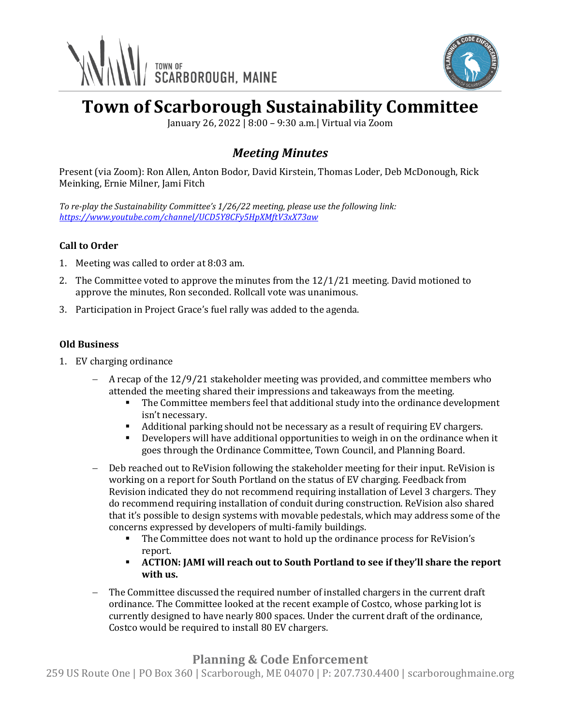



# **Town of Scarborough Sustainability Committee**

January 26, 2022 | 8:00 – 9:30 a.m.| Virtual via Zoom

## *Meeting Minutes*

Present (via Zoom): Ron Allen, Anton Bodor, David Kirstein, Thomas Loder, Deb McDonough, Rick Meinking, Ernie Milner, Jami Fitch

*To re-play the Sustainability Committee's 1/26/22 meeting, please use the following link: <https://www.youtube.com/channel/UCD5Y8CFy5HpXMftV3xX73aw>*

#### **Call to Order**

- 1. Meeting was called to order at 8:03 am.
- 2. The Committee voted to approve the minutes from the 12/1/21 meeting. David motioned to approve the minutes, Ron seconded. Rollcall vote was unanimous.
- 3. Participation in Project Grace's fuel rally was added to the agenda.

#### **Old Business**

- 1. EV charging ordinance
	- − A recap of the 12/9/21 stakeholder meeting was provided, and committee members who attended the meeting shared their impressions and takeaways from the meeting.
		- **•** The Committee members feel that additional study into the ordinance development isn't necessary.
		- Additional parking should not be necessary as a result of requiring EV chargers.
		- Developers will have additional opportunities to weigh in on the ordinance when it goes through the Ordinance Committee, Town Council, and Planning Board.
	- Deb reached out to ReVision following the stakeholder meeting for their input. ReVision is working on a report for South Portland on the status of EV charging. Feedback from Revision indicated they do not recommend requiring installation of Level 3 chargers. They do recommend requiring installation of conduit during construction. ReVision also shared that it's possible to design systems with movable pedestals, which may address some of the concerns expressed by developers of multi-family buildings.
		- The Committee does not want to hold up the ordinance process for ReVision's report.
		- **ACTION: JAMI will reach out to South Portland to see if they'll share the report with us.**
	- The Committee discussed the required number of installed chargers in the current draft ordinance. The Committee looked at the recent example of Costco, whose parking lot is currently designed to have nearly 800 spaces. Under the current draft of the ordinance, Costco would be required to install 80 EV chargers.

### **Planning & Code Enforcement**

259 US Route One | PO Box 360 | Scarborough, ME 04070 | P: 207.730.4400 | scarboroughmaine.org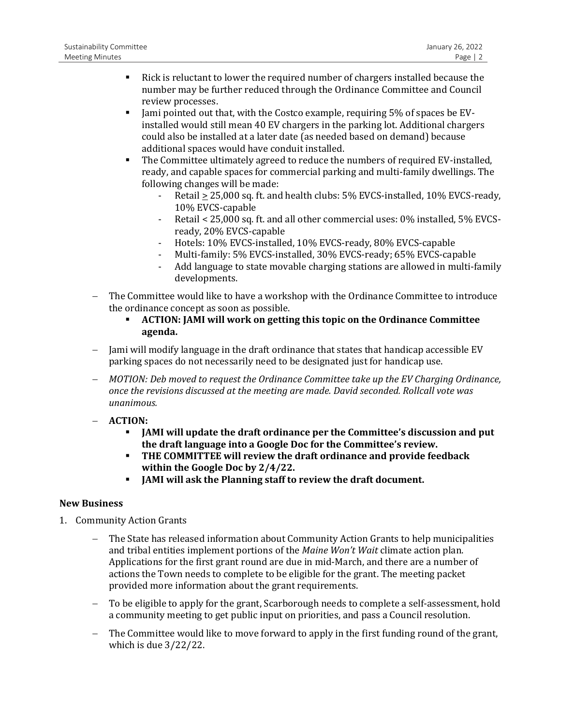- Rick is reluctant to lower the required number of chargers installed because the number may be further reduced through the Ordinance Committee and Council review processes.
- **Example 1** Jami pointed out that, with the Costco example, requiring 5% of spaces be EVinstalled would still mean 40 EV chargers in the parking lot. Additional chargers could also be installed at a later date (as needed based on demand) because additional spaces would have conduit installed.
- The Committee ultimately agreed to reduce the numbers of required EV-installed, ready, and capable spaces for commercial parking and multi-family dwellings. The following changes will be made:
	- Retail > 25,000 sq. ft. and health clubs: 5% EVCS-installed, 10% EVCS-ready, 10% EVCS-capable
	- Retail < 25,000 sq. ft. and all other commercial uses: 0% installed, 5% EVCSready, 20% EVCS-capable
	- Hotels: 10% EVCS-installed, 10% EVCS-ready, 80% EVCS-capable
	- Multi-family: 5% EVCS-installed, 30% EVCS-ready; 65% EVCS-capable
	- Add language to state movable charging stations are allowed in multi-family developments.
- − The Committee would like to have a workshop with the Ordinance Committee to introduce the ordinance concept as soon as possible.
	- **ACTION: JAMI will work on getting this topic on the Ordinance Committee agenda.**
- − Jami will modify language in the draft ordinance that states that handicap accessible EV parking spaces do not necessarily need to be designated just for handicap use.
- − *MOTION: Deb moved to request the Ordinance Committee take up the EV Charging Ordinance, once the revisions discussed at the meeting are made. David seconded. Rollcall vote was unanimous.*
- − **ACTION:** 
	- JAMI will update the draft ordinance per the Committee's discussion and put **the draft language into a Google Doc for the Committee's review.**
	- **THE COMMITTEE will review the draft ordinance and provide feedback within the Google Doc by 2/4/22.**
	- **JAMI will ask the Planning staff to review the draft document.**

#### **New Business**

- 1. Community Action Grants
	- The State has released information about Community Action Grants to help municipalities and tribal entities implement portions of the *Maine Won't Wait* climate action plan. Applications for the first grant round are due in mid-March, and there are a number of actions the Town needs to complete to be eligible for the grant. The meeting packet provided more information about the grant requirements.
	- − To be eligible to apply for the grant, Scarborough needs to complete a self-assessment, hold a community meeting to get public input on priorities, and pass a Council resolution.
	- − The Committee would like to move forward to apply in the first funding round of the grant, which is due 3/22/22.